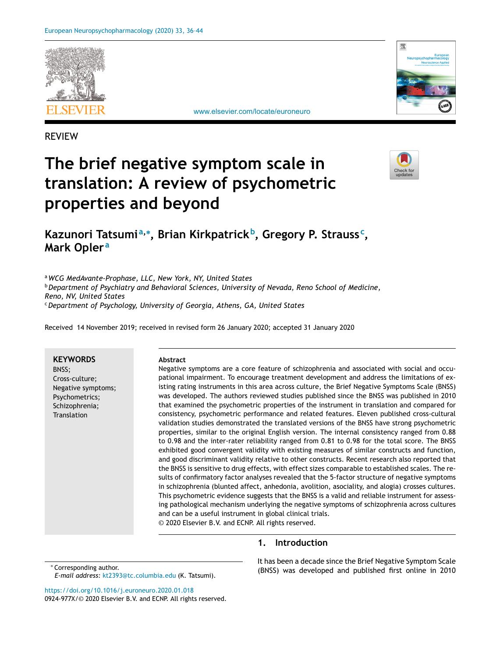



[www.elsevier.com/locate/euroneuro](http://www.elsevier.com/locate/euroneuro)

REVIEW

# **The brief negative symptom scale in translation: A review of psychometric properties and beyond**



**Kazunori Tatsumia,<sup>∗</sup> , Brian Kirkpatrickb, Gregory P. Strauss<sup>c</sup> , Mark Opler<sup>a</sup>**

<sup>a</sup>*WCG MedAvante-Prophase, LLC, New York, NY, United States* <sup>b</sup>*Department of Psychiatry and Behavioral Sciences, University of Nevada, Reno School of Medicine, Reno, NV, United States* <sup>c</sup>*Department of Psychology, University of Georgia, Athens, GA, United States*

Received 14 November 2019; received in revised form 26 January 2020; accepted 31 January 2020

**KEYWORDS** BNSS; Cross-culture; Negative symptoms; Psychometrics; Schizophrenia; **Translation Abstract** Negative symptoms are a core feature of schizophrenia and associated with social and occupational impairment. To encourage treatment development and address the limitations of existing rating instruments in this area across culture, the Brief Negative Symptoms Scale (BNSS) was developed. The authors reviewed studies published since the BNSS was published in 2010 that examined the psychometric properties of the instrument in translation and compared for consistency, psychometric performance and related features. Eleven published cross-cultural validation studies demonstrated the translated versions of the BNSS have strong psychometric properties, similar to the original English version. The internal consistency ranged from 0.88 to 0.98 and the inter-rater reliability ranged from 0.81 to 0.98 for the total score. The BNSS exhibited good convergent validity with existing measures of similar constructs and function, and good discriminant validity relative to other constructs. Recent research also reported that the BNSS is sensitive to drug effects, with effect sizes comparable to established scales. The results of confirmatory factor analyses revealed that the 5-factor structure of negative symptoms in schizophrenia (blunted affect, anhedonia, avolition, asociality, and alogia) crosses cultures. This psychometric evidence suggests that the BNSS is a valid and reliable instrument for assessing pathological mechanism underlying the negative symptoms of schizophrenia across cultures and can be a useful instrument in global clinical trials. © 2020 Elsevier B.V. and ECNP. All rights reserved.

# **1. Introduction**

∗ Corresponding author.

*E-mail address:* [kt2393@tc.columbia.edu](mailto:kt2393@tc.columbia.edu) (K. Tatsumi).

It has been a decade since the Brief Negative Symptom Scale (BNSS) was developed and published first online in 2010

<https://doi.org/10.1016/j.euroneuro.2020.01.018> 0924-977X/© 2020 Elsevier B.V. and ECNP. All rights reserved.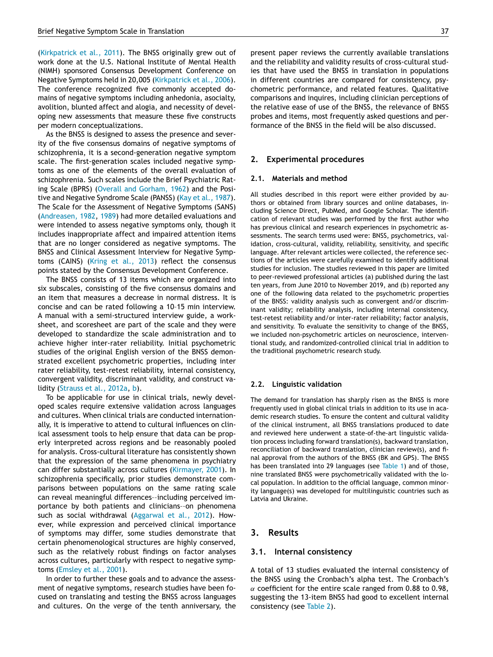[\(Kirkpatrick](#page-7-0) et al., 2011). The BNSS originally grew out of work done at the U.S. National Institute of Mental Health (NIMH) sponsored Consensus Development Conference on Negative Symptoms held in 20,005 [\(Kirkpatrick](#page-7-0) et al., 2006). The conference recognized five commonly accepted domains of negative symptoms including anhedonia, asocialty, avolition, blunted affect and alogia, and necessity of developing new assessments that measure these five constructs per modern conceptualizations.

As the BNSS is designed to assess the presence and severity of the five consensus domains of negative symptoms of schizophrenia, it is a second-generation negative symptom scale. The first-generation scales included negative symptoms as one of the elements of the overall evaluation of schizophrenia. Such scales include the Brief Psychiatric Rating Scale (BPRS) (Overall and [Gorham,](#page-8-0) 1962) and the Positive and Negative Syndrome Scale (PANSS) (Kay et al., [1987\)](#page-7-0). The Scale for the Assessment of Negative Symptoms (SANS) [\(Andreasen,](#page-7-0) 1982, [1989\)](#page-7-0) had more detailed evaluations and were intended to assess negative symptoms only, though it includes inappropriate affect and impaired attention items that are no longer considered as negative symptoms. The BNSS and Clinical Assessment Interview for Negative Symptoms (CAINS) [\(Kring](#page-8-0) et al., 2013) reflect the consensus points stated by the Consensus Development Conference.

The BNSS consists of 13 items which are organized into six subscales, consisting of the five consensus domains and an item that measures a decrease in normal distress. It is concise and can be rated following a 10–15 min interview. A manual with a semi-structured interview guide, a worksheet, and scoresheet are part of the scale and they were developed to standardize the scale administration and to achieve higher inter-rater reliability. Initial psychometric studies of the original English version of the BNSS demonstrated excellent psychometric properties, including inter rater reliability, test-retest reliability, internal consistency, convergent validity, discriminant validity, and construct validity [\(Strauss](#page-8-0) et al., 2012a, [b\)](#page-8-0).

To be applicable for use in clinical trials, newly developed scales require extensive validation across languages and cultures. When clinical trials are conducted internationally, it is imperative to attend to cultural influences on clinical assessment tools to help ensure that data can be properly interpreted across regions and be reasonably pooled for analysis. Cross-cultural literature has consistently shown that the expression of the same phenomena in psychiatry can differ substantially across cultures [\(Kirmayer,](#page-7-0) 2001). In schizophrenia specifically, prior studies demonstrate comparisons between populations on the same rating scale can reveal meaningful differences––including perceived importance by both patients and clinicians––on phenomena such as social withdrawal [\(Aggarwal](#page-7-0) et al., 2012). However, while expression and perceived clinical importance of symptoms may differ, some studies demonstrate that certain phenomenological structures are highly conserved, such as the relatively robust findings on factor analyses across cultures, particularly with respect to negative symptoms [\(Emsley](#page-7-0) et al., 2001).

In order to further these goals and to advance the assessment of negative symptoms, research studies have been focused on translating and testing the BNSS across languages and cultures. On the verge of the tenth anniversary, the present paper reviews the currently available translations and the reliability and validity results of cross-cultural studies that have used the BNSS in translation in populations in different countries are compared for consistency, psychometric performance, and related features. Qualitative comparisons and inquires, including clinician perceptions of the relative ease of use of the BNSS, the relevance of BNSS probes and items, most frequently asked questions and performance of the BNSS in the field will be also discussed.

#### **2. Experimental procedures**

#### **2.1. Materials and method**

All studies described in this report were either provided by authors or obtained from library sources and online databases, including Science Direct, PubMed, and Google Scholar. The identification of relevant studies was performed by the first author who has previous clinical and research experiences in psychometric assessments. The search terms used were: BNSS, psychometrics, validation, cross-cultural, validity, reliability, sensitivity, and specific language. After relevant articles were collected, the reference sections of the articles were carefully examined to identify additional studies for inclusion. The studies reviewed in this paper are limited to peer-reviewed professional articles (a) published during the last ten years, from June 2010 to November 2019, and (b) reported any one of the following data related to the psychometric properties of the BNSS: validity analysis such as convergent and/or discriminant validity; reliability analysis, including internal consistency, test-retest reliability and/or inter-rater reliability; factor analysis, and sensitivity. To evaluate the sensitivity to change of the BNSS, we included non-psychometric articles on neuroscience, interventional study, and randomized-controlled clinical trial in addition to the traditional psychometric research study.

## **2.2. Linguistic validation**

The demand for translation has sharply risen as the BNSS is more frequently used in global clinical trials in addition to its use in academic research studies. To ensure the content and cultural validity of the clinical instrument, all BNSS translations produced to date and reviewed here underwent a state-of-the-art linguistic validation process including forward translation(s), backward translation, reconciliation of backward translation, clinician review(s), and final approval from the authors of the BNSS (BK and GPS). The BNSS has been translated into 29 languages (see [Table](#page-2-0) 1) and of those, nine translated BNSS were psychometrically validated with the local population. In addition to the official language, common minority language(s) was developed for multilinguistic countries such as Latvia and Ukraine.

## **3. Results**

## **3.1. Internal consistency**

A total of 13 studies evaluated the internal consistency of the BNSS using the Cronbach's alpha test. The Cronbach's  $\alpha$  coefficient for the entire scale ranged from 0.88 to 0.98, suggesting the 13-item BNSS had good to excellent internal consistency (see [Table](#page-3-0) 2).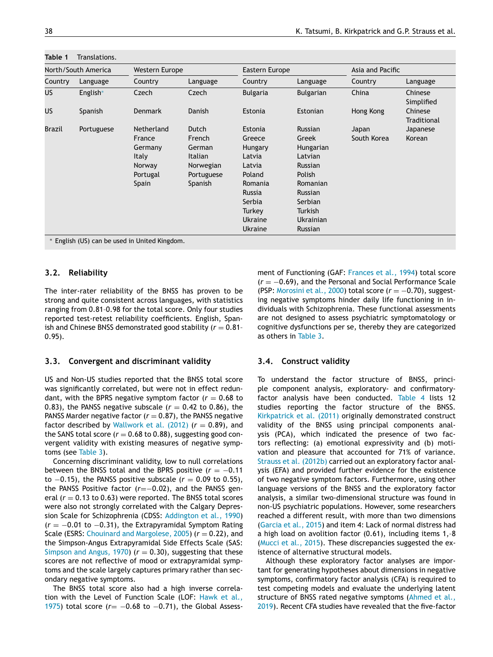| North/South America |            | <b>Western Europe</b> |            | Eastern Europe  |                  | Asia and Pacific |                        |
|---------------------|------------|-----------------------|------------|-----------------|------------------|------------------|------------------------|
| Country             | Language   | Country               | Language   | Country         | Language         | Country          | Language               |
| US                  | English*   | Czech                 | Czech      | <b>Bulgaria</b> | <b>Bulgarian</b> | China            | Chinese<br>Simplified  |
| US                  | Spanish    | <b>Denmark</b>        | Danish     | Estonia         | Estonian         | Hong Kong        | Chinese<br>Traditional |
| Brazil              | Portuguese | Netherland            | Dutch      | Estonia         | <b>Russian</b>   | Japan            | Japanese               |
|                     |            | France                | French     | Greece          | Greek            | South Korea      | Korean                 |
|                     |            | Germany               | German     | Hungary         | Hungarian        |                  |                        |
|                     |            | <b>Italy</b>          | Italian    | Latvia          | Latvian          |                  |                        |
|                     |            | Norway                | Norwegian  | Latvia          | <b>Russian</b>   |                  |                        |
|                     |            | Portugal              | Portuguese | Poland          | Polish           |                  |                        |
|                     |            | Spain                 | Spanish    | Romania         | Romanian         |                  |                        |
|                     |            |                       |            | Russia          | <b>Russian</b>   |                  |                        |
|                     |            |                       |            | Serbia          | Serbian          |                  |                        |
|                     |            |                       |            | Turkey          | Turkish          |                  |                        |
|                     |            |                       |            | Ukraine         | <b>Ukrainian</b> |                  |                        |
|                     |            |                       |            | Ukraine         | Russian          |                  |                        |

<span id="page-2-0"></span>**Table 1** Translations.

**3.2. Reliability**

The inter-rater reliability of the BNSS has proven to be strong and quite consistent across languages, with statistics ranging from 0.81–0.98 for the total score. Only four studies reported test-retest reliability coefficients. English, Spanish and Chinese BNSS demonstrated good stability  $(r = 0.81$ 0.95).

## **3.3. Convergent and discriminant validity**

US and Non-US studies reported that the BNSS total score was significantly correlated, but were not in effect redundant, with the BPRS negative symptom factor  $(r = 0.68$  to 0.83), the PANSS negative subscale  $(r = 0.42$  to 0.86), the PANSS Marder negative factor  $(r = 0.87)$ , the PANSS negative factor described by [Wallwork](#page-8-0) et al.  $(2012)$   $(r = 0.89)$ , and the SANS total score  $(r = 0.68$  to 0.88), suggesting good convergent validity with existing measures of negative symptoms (see [Table](#page-4-0) 3).

Concerning discriminant validity, low to null correlations between the BNSS total and the BPRS positive (*r* = −0.11 to  $-0.15$ ), the PANSS positive subscale ( $r = 0.09$  to 0.55), the PANSS Positive factor (*r*=−0.02), and the PANSS general  $(r = 0.13$  to 0.63) were reported. The BNSS total scores were also not strongly correlated with the Calgary Depression Scale for Schizophrenia (CDSS: [Addington](#page-7-0) et al., 1990) (*r* = −0.01 to −0.31), the Extrapyramidal Symptom Rating Scale (ESRS: Chouinard and [Margolese,](#page-7-0) 2005) ( $r = 0.22$ ), and the Simpson-Angus Extrapyramidal Side Effects Scale (SAS: [Simpson](#page-8-0) and Angus, 1970)  $(r = 0.30)$ , suggesting that these scores are not reflective of mood or extrapyramidal symptoms and the scale largely captures primary rather than secondary negative symptoms.

The BNSS total score also had a high inverse correlation with the Level of [Function](#page-7-0) Scale (LOF: Hawk et al., 1975) total score (*r* = −0.68 to −0.71), the Global Assessment of Functioning (GAF: [Frances](#page-7-0) et al., 1994) total score (*r* = −0.69), and the Personal and Social Performance Scale (PSP: [Morosini](#page-8-0) et al., 2000) total score (*r* = −0.70), suggesting negative symptoms hinder daily life functioning in individuals with Schizophrenia. These functional assessments are not designed to assess psychiatric symptomatology or cognitive dysfunctions per se, thereby they are categorized as others in [Table](#page-4-0) 3.

## **3.4. Construct validity**

To understand the factor structure of BNSS, principle component analysis, exploratory- and confirmatoryfactor analysis have been conducted. [Table](#page-5-0) 4 lists 12 studies reporting the factor structure of the BNSS. [Kirkpatrick](#page-7-0) et al. (2011) originally demonstrated construct validity of the BNSS using principal components analysis (PCA), which indicated the presence of two factors reflecting: (a) emotional expressivity and (b) motivation and pleasure that accounted for 71% of variance. Strauss et al. [\(2012b\)](#page-8-0) carried out an exploratory factor analysis (EFA) and provided further evidence for the existence of two negative symptom factors. Furthermore, using other language versions of the BNSS and the exploratory factor analysis, a similar two-dimensional structure was found in non-US psychiatric populations. However, some researchers reached a different result, with more than two dimensions [\(Garcia](#page-7-0) et al., 2015) and item 4: Lack of normal distress had a high load on avolition factor (0.61), including items 1,–8 [\(Mucci](#page-8-0) et al., 2015). These discrepancies suggested the existence of alternative structural models.

Although these exploratory factor analyses are important for generating hypotheses about dimensions in negative symptoms, confirmatory factor analysis (CFA) is required to test competing models and evaluate the underlying latent structure of BNSS rated negative symptoms (Ahmed et al., 2019). Recent CFA studies have revealed that the [five-factor](#page-7-0)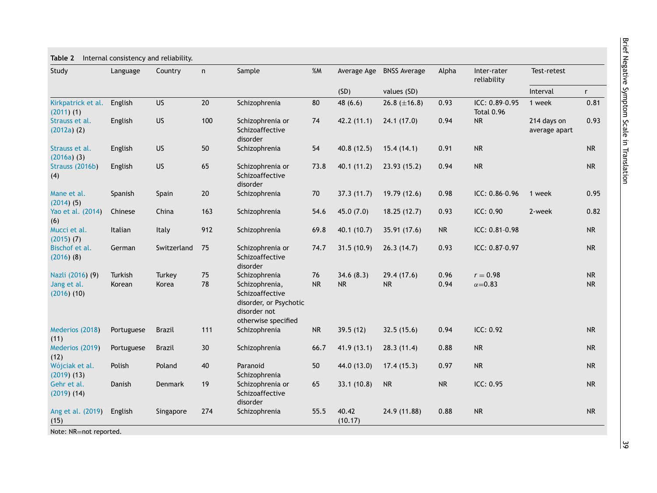| Study                                              | Language          | Country         | n               | Sample                                                                                                              | %M              | Average Age      | <b>BNSS Average</b>     | Alpha        | Inter-rater<br>reliability          | Test-retest                  |                        |
|----------------------------------------------------|-------------------|-----------------|-----------------|---------------------------------------------------------------------------------------------------------------------|-----------------|------------------|-------------------------|--------------|-------------------------------------|------------------------------|------------------------|
|                                                    |                   |                 |                 |                                                                                                                     |                 | (SD)             | values (SD)             |              |                                     | Interval                     | $r_{\rm}$              |
| Kirkpatrick et al.<br>$(2011)$ $(1)$               | English           | <b>US</b>       | 20              | Schizophrenia                                                                                                       | 80              | 48(6.6)          | 26.8 $(\pm 16.8)$       | 0.93         | ICC: 0.89-0.95<br><b>Total 0.96</b> | 1 week                       | 0.81                   |
| Strauss et al.<br>$(2012a)$ $(2)$                  | English           | US              | 100             | Schizophrenia or<br>Schizoaffective<br>disorder                                                                     | 74              | 42.2(11.1)       | 24.1(17.0)              | 0.94         | <b>NR</b>                           | 214 days on<br>average apart | 0.93                   |
| Strauss et al.<br>$(2016a)$ (3)                    | English           | <b>US</b>       | 50              | Schizophrenia                                                                                                       | 54              | 40.8(12.5)       | 15.4(14.1)              | 0.91         | <b>NR</b>                           |                              | <b>NR</b>              |
| Strauss (2016b)<br>(4)                             | English           | <b>US</b>       | 65              | Schizophrenia or<br>Schizoaffective<br>disorder                                                                     | 73.8            | 40.1(11.2)       | 23.93(15.2)             | 0.94         | <b>NR</b>                           |                              | <b>NR</b>              |
| Mane et al.<br>$(2014)$ (5)                        | Spanish           | Spain           | 20              | Schizophrenia                                                                                                       | 70              | 37.3(11.7)       | 19.79 (12.6)            | 0.98         | $ICC: 0.86 - 0.96$                  | 1 week                       | 0.95                   |
| Yao et al. (2014)<br>(6)                           | Chinese           | China           | 163             | Schizophrenia                                                                                                       | 54.6            | 45.0(7.0)        | 18.25(12.7)             | 0.93         | ICC: 0.90                           | 2-week                       | 0.82                   |
| Mucci et al.<br>$(2015)$ $(7)$                     | Italian           | Italy           | 912             | Schizophrenia                                                                                                       | 69.8            | 40.1 (10.7)      | 35.91 (17.6)            | <b>NR</b>    | ICC: 0.81-0.98                      |                              | <b>NR</b>              |
| Bischof et al.<br>$(2016)$ $(8)$                   | German            | Switzerland     | 75              | Schizophrenia or<br>Schizoaffective<br>disorder                                                                     | 74.7            | 31.5(10.9)       | 26.3(14.7)              | 0.93         | ICC: 0.87-0.97                      |                              | ${\sf NR}$             |
| Nazli (2016) (9)<br>Jang et al.<br>$(2016)$ $(10)$ | Turkish<br>Korean | Turkey<br>Korea | 75<br>78        | Schizophrenia<br>Schizophrenia,<br>Schizoaffective<br>disorder, or Psychotic<br>disorder not<br>otherwise specified | 76<br><b>NR</b> | 34.6(8.3)<br>NR  | 29.4(17.6)<br><b>NR</b> | 0.96<br>0.94 | $r = 0.98$<br>$\alpha = 0.83$       |                              | <b>NR</b><br><b>NR</b> |
| Mederios (2018)<br>(11)                            | Portuguese        | <b>Brazil</b>   | 111             | Schizophrenia                                                                                                       | <b>NR</b>       | 39.5(12)         | 32.5(15.6)              | 0.94         | ICC: 0.92                           |                              | <b>NR</b>              |
| Mederios (2019)<br>(12)                            | Portuguese        | <b>Brazil</b>   | 30 <sup>°</sup> | Schizophrenia                                                                                                       | 66.7            | 41.9(13.1)       | 28.3(11.4)              | 0.88         | <b>NR</b>                           |                              | <b>NR</b>              |
| Wójciak et al.<br>$(2019)$ $(13)$                  | Polish            | Poland          | 40              | Paranoid<br>Schizophrenia                                                                                           | 50              | 44.0 (13.0)      | 17.4(15.3)              | 0.97         | <b>NR</b>                           |                              | <b>NR</b>              |
| Gehr et al.<br>$(2019)$ $(14)$                     | Danish            | Denmark         | 19              | Schizophrenia or<br>Schizoaffective<br>disorder                                                                     | 65              | 33.1(10.8)       | <b>NR</b>               | <b>NR</b>    | ICC: 0.95                           |                              | <b>NR</b>              |
| Ang et al. (2019)<br>(15)                          | English           | Singapore       | 274             | Schizophrenia                                                                                                       | 55.5            | 40.42<br>(10.17) | 24.9 (11.88)            | 0.88         | <b>NR</b>                           |                              | <b>NR</b>              |

<span id="page-3-0"></span>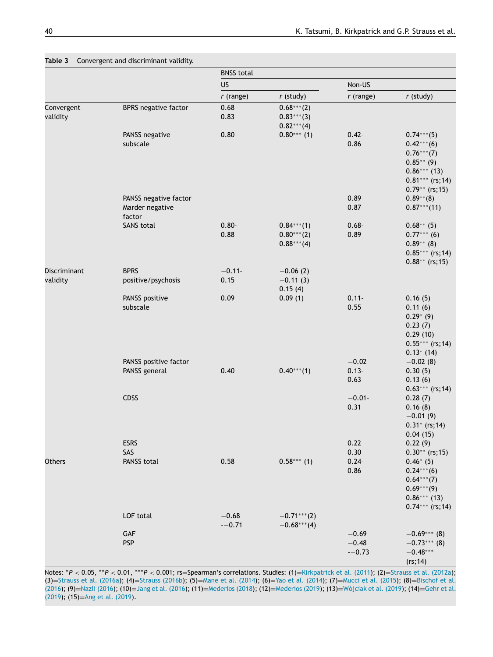<span id="page-4-0"></span>

|                          |                                   | <b>BNSS total</b> |                                               |                          |                                                                                                                             |
|--------------------------|-----------------------------------|-------------------|-----------------------------------------------|--------------------------|-----------------------------------------------------------------------------------------------------------------------------|
|                          |                                   | US                |                                               | Non-US                   |                                                                                                                             |
|                          |                                   | $r$ (range)       | $r$ (study)                                   | $r$ (range)              | $r$ (study)                                                                                                                 |
| Convergent<br>validity   | <b>BPRS</b> negative factor       | $0.68 -$<br>0.83  | $0.68***(2)$<br>$0.83***(3)$<br>$0.82***(4)$  |                          |                                                                                                                             |
|                          | PANSS negative<br>subscale        | 0.80              | $0.80***$ (1)                                 | $0.42 -$<br>0.86         | $0.74***$ (5)<br>$0.42***(6)$<br>$0.76***$ (7)<br>$0.85**$ (9)<br>$0.86***$ (13)<br>$0.81***$ (rs; 14)<br>$0.79**$ (rs; 15) |
|                          | PANSS negative factor             |                   |                                               | 0.89                     | $0.89**$ (8)                                                                                                                |
|                          | Marder negative<br>factor         |                   |                                               | 0.87                     | $0.87***$ (11)                                                                                                              |
|                          | <b>SANS total</b>                 | $0.80 -$<br>0.88  | $0.84***$ (1)<br>$0.80***(2)$<br>$0.88***(4)$ | $0.68 -$<br>0.89         | $0.68^{**}$ (5)<br>$0.77***$ (6)<br>$0.89**$ (8)<br>$0.85***$ (rs; 14)<br>$0.88**$ (rs; 15)                                 |
| Discriminant<br>validity | <b>BPRS</b><br>positive/psychosis | $-0.11-$<br>0.15  | $-0.06(2)$<br>$-0.11(3)$<br>0.15(4)           |                          |                                                                                                                             |
|                          | PANSS positive<br>subscale        | 0.09              | 0.09(1)                                       | $0.11 -$<br>0.55         | 0.16(5)<br>0.11(6)<br>$0.29*$ (9)<br>0.23(7)<br>0.29(10)<br>$0.55***$ (rs; 14)                                              |
|                          | PANSS positive factor             |                   |                                               | $-0.02$                  | $0.13*$ (14)<br>$-0.02(8)$                                                                                                  |
|                          | PANSS general                     | 0.40              | $0.40***$ (1)                                 | $0.13 -$<br>0.63         | 0.30(5)<br>0.13(6)                                                                                                          |
|                          | CDSS                              |                   |                                               | $-0.01 -$<br>0.31        | $0.63***$ (rs; 14)<br>0.28(7)<br>0.16(8)<br>$-0.01(9)$<br>$0.31*$ (rs; 14)                                                  |
|                          | <b>ESRS</b>                       |                   |                                               | 0.22                     | 0.04(15)<br>0.22(9)                                                                                                         |
| Others                   | SAS<br>PANSS total                | 0.58              | $0.58***$ (1)                                 | 0.30<br>$0.24 -$<br>0.86 | $0.30**$ (rs; 15)<br>$0.46*$ (5)<br>$0.24***(6)$<br>$0.64***$ (7)<br>$0.69***(9)$<br>$0.86***$ (13)<br>$0.74***$ (rs; 14)   |
|                          | LOF total                         | $-0.68$           | $-0.71***$ (2)                                |                          |                                                                                                                             |
|                          | GAF                               | $-0.71$           | $-0.68***$ (4)                                | $-0.69$                  | $-0.69***$ (8)                                                                                                              |
|                          | <b>PSP</b>                        |                   |                                               | $-0.48$<br>$-0.73$       | $-0.73***$ (8)<br>$-0.48***$<br>(rs; 14)                                                                                    |

Notes: \**P* < 0.05, \*\**P* < 0.01, \*\*\**P* < 0.001; rs=Spearman's correlations. Studies: (1)=[Kirkpatrick](#page-7-0) et al. (2011); (2)=[Strauss](#page-8-0) et al. (2012a); (3)=[Strauss](#page-8-0) et al. (2016a); (4)=Strauss [\(2016b\)](#page-8-0); (5)=Mane et al. [\(2014\)](#page-8-0); (6)=Yao et al. [\(2014\)](#page-8-0); (7)=Mucci et al. [\(2015\)](#page-8-0); (8)=Bischof et al. (2016); (9)=Nazli [\(2016\)](#page-8-0); (10)=Jang et al. [\(2016\)](#page-7-0); (11)=[Mederios](#page-8-0) (2018); (12)=[Mederios](#page-7-0) (2019); (13)=[Wójciak](#page-8-0) et al. (2019); (14)=Gehr et al. (2019); (15)=Ang et al. [\(2019\)](#page-7-0).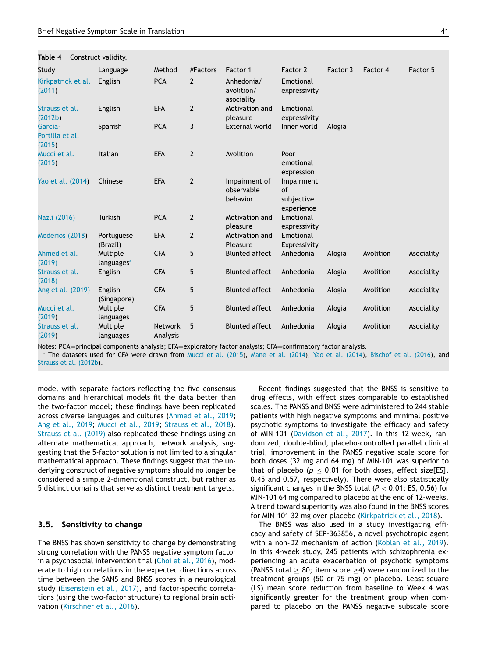<span id="page-5-0"></span>**Table 4** Construct validity.

| Study                                | Language               | Method                     | #Factors       | Factor 1                                | Factor 2                                     | Factor 3 | Factor 4  | Factor 5   |
|--------------------------------------|------------------------|----------------------------|----------------|-----------------------------------------|----------------------------------------------|----------|-----------|------------|
| Kirkpatrick et al.<br>(2011)         | English                | <b>PCA</b>                 | $\overline{2}$ | Anhedonia/<br>avolition/<br>asociality  | Emotional<br>expressivity                    |          |           |            |
| Strauss et al.<br>(2012b)            | English                | <b>EFA</b>                 | $\mathbf{2}$   | Motivation and<br>pleasure              | Emotional<br>expressivity                    |          |           |            |
| Garcia-<br>Portilla et al.<br>(2015) | Spanish                | <b>PCA</b>                 | 3              | <b>External world</b>                   | Inner world                                  | Alogia   |           |            |
| Mucci et al.<br>(2015)               | Italian                | <b>EFA</b>                 | $\overline{2}$ | Avolition                               | Poor<br>emotional<br>expression              |          |           |            |
| Yao et al. (2014)                    | Chinese                | <b>EFA</b>                 | $\mathbf{2}$   | Impairment of<br>observable<br>behavior | Impairment<br>of<br>subjective<br>experience |          |           |            |
| Nazli (2016)                         | <b>Turkish</b>         | <b>PCA</b>                 | $\overline{2}$ | Motivation and<br>pleasure              | Emotional<br>expressivity                    |          |           |            |
| Mederios (2018)                      | Portuguese<br>(Brazil) | <b>EFA</b>                 | $\overline{2}$ | Motivation and<br>Pleasure              | Emotional<br>Expressivity                    |          |           |            |
| Ahmed et al.<br>(2019)               | Multiple<br>languages* | <b>CFA</b>                 | 5              | <b>Blunted affect</b>                   | Anhedonia                                    | Alogia   | Avolition | Asociality |
| Strauss et al.<br>(2018)             | English                | <b>CFA</b>                 | 5              | <b>Blunted affect</b>                   | Anhedonia                                    | Alogia   | Avolition | Asociality |
| Ang et al. (2019)                    | English<br>(Singapore) | <b>CFA</b>                 | 5              | <b>Blunted affect</b>                   | Anhedonia                                    | Alogia   | Avolition | Asociality |
| Mucci et al.<br>(2019)               | Multiple<br>languages  | <b>CFA</b>                 | 5              | <b>Blunted affect</b>                   | Anhedonia                                    | Alogia   | Avolition | Asociality |
| Strauss et al.<br>(2019)             | Multiple<br>languages  | <b>Network</b><br>Analysis | 5              | <b>Blunted affect</b>                   | Anhedonia                                    | Alogia   | Avolition | Asociality |

Notes: PCA=principal components analysis; EFA=exploratory factor analysis; CFA=confirmatory factor analysis.

∗ The datasets used for CFA were drawn from Mucci et al. [\(2015\)](#page-8-0), Mane et al. [\(2014\)](#page-8-0), Yao et al. [\(2014\)](#page-8-0), [Bischof](#page-7-0) et al. (2016), and Strauss et al. [\(2012b\)](#page-8-0).

model with separate factors reflecting the five consensus domains and hierarchical models fit the data better than the two-factor model; these findings have been replicated across diverse languages and cultures [\(Ahmed](#page-7-0) et al., 2019; Ang et al., [2019;](#page-7-0) [Mucci](#page-8-0) et al., 2019; [Strauss](#page-8-0) et al., 2018). [Strauss](#page-8-0) et al. (2019) also replicated these findings using an alternate mathematical approach, network analysis, suggesting that the 5-factor solution is not limited to a singular mathematical approach. These findings suggest that the underlying construct of negative symptoms should no longer be considered a simple 2-dimentional construct, but rather as 5 distinct domains that serve as distinct treatment targets.

#### **3.5. Sensitivity to change**

The BNSS has shown sensitivity to change by demonstrating strong correlation with the PANSS negative symptom factor in a psychosocial intervention trial (Choi et al., [2016\)](#page-7-0), moderate to high correlations in the expected directions across time between the SANS and BNSS scores in a neurological study [\(Eisenstein](#page-7-0) et al., 2017), and factor-specific correlations (using the two-factor structure) to regional brain activation [\(Kirschner](#page-7-0) et al., 2016).

Recent findings suggested that the BNSS is sensitive to drug effects, with effect sizes comparable to established scales. The PANSS and BNSS were administered to 244 stable patients with high negative symptoms and minimal positive psychotic symptoms to investigate the efficacy and safety of MIN-101 [\(Davidson](#page-7-0) et al., 2017). In this 12-week, randomized, double-blind, placebo-controlled parallel clinical trial, improvement in the PANSS negative scale score for both doses (32 mg and 64 mg) of MIN-101 was superior to that of placebo ( $p \le 0.01$  for both doses, effect size[ES], 0.45 and 0.57, respectively). There were also statistically significant changes in the BNSS total (*P* < 0.01; ES, 0.56) for MIN-101 64 mg compared to placebo at the end of 12-weeks. A trend toward superiority was also found in the BNSS scores for MIN-101 32 mg over placebo [\(Kirkpatrick](#page-7-0) et al., 2018).

The BNSS was also used in a study investigating efficacy and safety of SEP-363856, a novel psychotropic agent with a non-D2 mechanism of action [\(Koblan](#page-7-0) et al., 2019). In this 4-week study, 245 patients with schizophrenia experiencing an acute exacerbation of psychotic symptoms (PANSS total  $> 80$ ; item score  $> 4$ ) were randomized to the treatment groups (50 or 75 mg) or placebo. Least-square (LS) mean score reduction from baseline to Week 4 was significantly greater for the treatment group when compared to placebo on the PANSS negative subscale score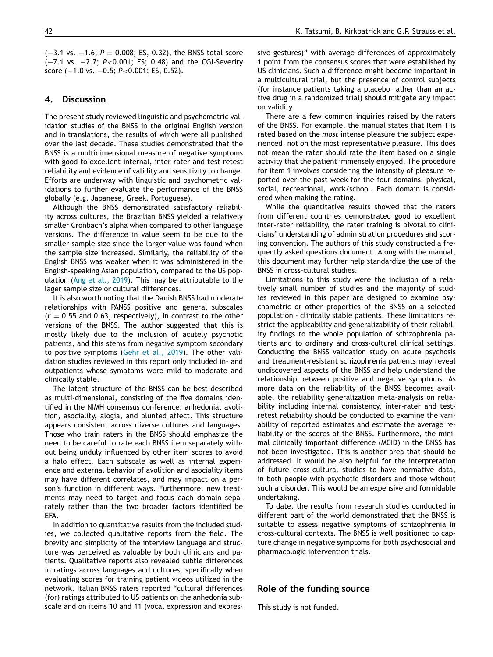(−3.1 vs. −1.6; *P* = 0.008; ES, 0.32), the BNSS total score (−7.1 vs. −2.7; *P*<0.001; ES; 0.48) and the CGI-Severity score (-1.0 vs. -0.5; *P*<0.001; ES, 0.52).

## **4. Discussion**

The present study reviewed linguistic and psychometric validation studies of the BNSS in the original English version and in translations, the results of which were all published over the last decade. These studies demonstrated that the BNSS is a multidimensional measure of negative symptoms with good to excellent internal, inter-rater and test-retest reliability and evidence of validity and sensitivity to change. Efforts are underway with linguistic and psychometric validations to further evaluate the performance of the BNSS globally (e.g. Japanese, Greek, Portuguese).

Although the BNSS demonstrated satisfactory reliability across cultures, the Brazilian BNSS yielded a relatively smaller Cronbach's alpha when compared to other language versions. The difference in value seem to be due to the smaller sample size since the larger value was found when the sample size increased. Similarly, the reliability of the English BNSS was weaker when it was administered in the English-speaking Asian population, compared to the US population (Ang et al., [2019\)](#page-7-0). This may be attributable to the lager sample size or cultural differences.

It is also worth noting that the Danish BNSS had moderate relationships with PANSS positive and general subscales  $(r = 0.55$  and 0.63, respectively), in contrast to the other versions of the BNSS. The author suggested that this is mostly likely due to the inclusion of acutely psychotic patients, and this stems from negative symptom secondary to positive symptoms [\(Gehr](#page-7-0) et al., 2019). The other validation studies reviewed in this report only included in- and outpatients whose symptoms were mild to moderate and clinically stable.

The latent structure of the BNSS can be best described as multi-dimensional, consisting of the five domains identified in the NIMH consensus conference: anhedonia, avolition, asociality, alogia, and blunted affect. This structure appears consistent across diverse cultures and languages. Those who train raters in the BNSS should emphasize the need to be careful to rate each BNSS item separately without being unduly influenced by other item scores to avoid a halo effect. Each subscale as well as internal experience and external behavior of avolition and asociality items may have different correlates, and may impact on a person's function in different ways. Furthermore, new treatments may need to target and focus each domain separately rather than the two broader factors identified be EFA.

In addition to quantitative results from the included studies, we collected qualitative reports from the field. The brevity and simplicity of the interview language and structure was perceived as valuable by both clinicians and patients. Qualitative reports also revealed subtle differences in ratings across languages and cultures, specifically when evaluating scores for training patient videos utilized in the network. Italian BNSS raters reported "cultural differences (for) ratings attributed to US patients on the anhedonia subscale and on items 10 and 11 (vocal expression and expressive gestures)" with average differences of approximately 1 point from the consensus scores that were established by US clinicians. Such a difference might become important in a multicultural trial, but the presence of control subjects (for instance patients taking a placebo rather than an active drug in a randomized trial) should mitigate any impact on validity.

There are a few common inquiries raised by the raters of the BNSS. For example, the manual states that Item 1 is rated based on the *most* intense pleasure the subject experienced, not on the most representative pleasure. This does not mean the rater should rate the item based on a single activity that the patient immensely enjoyed. The procedure for item 1 involves considering the intensity of pleasure reported over the past week for the four domains: physical, social, recreational, work/school. Each domain is considered when making the rating.

While the quantitative results showed that the raters from different countries demonstrated good to excellent inter-rater reliability, the rater training is pivotal to clinicians' understanding of administration procedures and scoring convention. The authors of this study constructed a frequently asked questions document. Along with the manual, this document may further help standardize the use of the BNSS in cross-cultural studies.

Limitations to this study were the inclusion of a relatively small number of studies and the majority of studies reviewed in this paper are designed to examine psychometric or other properties of the BNSS on a selected population - clinically stable patients. These limitations restrict the applicability and generalizability of their reliability findings to the whole population of schizophrenia patients and to ordinary and cross-cultural clinical settings. Conducting the BNSS validation study on acute psychosis and treatment-resistant schizophrenia patients may reveal undiscovered aspects of the BNSS and help understand the relationship between positive and negative symptoms. As more data on the reliability of the BNSS becomes available, the reliability generalization meta-analysis on reliability including internal consistency, inter-rater and testretest reliability should be conducted to examine the variability of reported estimates and estimate the average reliability of the scores of the BNSS. Furthermore, the minimal clinically important difference (MCID) in the BNSS has not been investigated. This is another area that should be addressed. It would be also helpful for the interpretation of future cross-cultural studies to have normative data, in both people with psychotic disorders and those without such a disorder. This would be an expensive and formidable undertaking.

To date, the results from research studies conducted in different part of the world demonstrated that the BNSS is suitable to assess negative symptoms of schizophrenia in cross-cultural contexts. The BNSS is well positioned to capture change in negative symptoms for both psychosocial and pharmacologic intervention trials.

#### **Role of the funding source**

This study is not funded.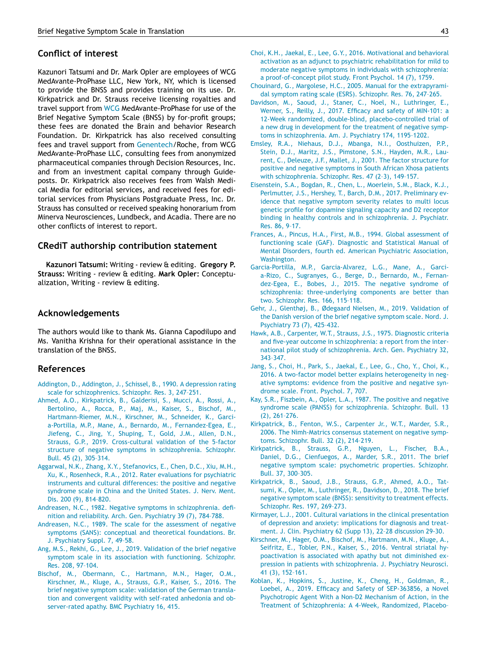## <span id="page-7-0"></span>**Conflict of interest**

Kazunori Tatsumi and Dr. Mark Opler are employees of WCG MedAvante-ProPhase LLC, New York, NY, which is licensed to provide the BNSS and provides training on its use. Dr. Kirkpatrick and Dr. Strauss receive licensing royalties and travel support from [WCG](http://dx.doi.org/10.13039/100005990) MedAvante-ProPhase for use of the Brief Negative Symptom Scale (BNSS) by for-profit groups; these fees are donated the Brain and behavior Research Foundation. Dr. Kirkpatrick has also received consulting fees and travel support from [Genentech/](http://dx.doi.org/10.13039/100004328)Roche, from WCG MedAvante-ProPhase LLC, consulting fees from anonymized pharmaceutical companies through Decision Resources, Inc. and from an investment capital company through Guideposts. Dr. Kirkpatrick also receives fees from Walsh Medical Media for editorial services, and received fees for editorial services from Physicians Postgraduate Press, Inc. Dr. Strauss has consulted or received speaking honorarium from Minerva Neurosciences, Lundbeck, and Acadia. There are no other conflicts of interest to report.

## **CRediT authorship contribution statement**

**Kazunori Tatsumi:** Writing - review & editing. **Gregory P. Strauss:** Writing - review & editing. **Mark Opler:** Conceptualization, Writing - review & editing.

## **Acknowledgements**

The authors would like to thank Ms. Gianna Capodilupo and Ms. Vanitha Krishna for their operational assistance in the translation of the BNSS.

#### **References**

- [Addington,](http://refhub.elsevier.com/S0924-977X(20)30043-2/sbref0001) D., [Addington,](http://refhub.elsevier.com/S0924-977X(20)30043-2/sbref0001) J., [Schissel,](http://refhub.elsevier.com/S0924-977X(20)30043-2/sbref0001) B., 1990. A depression rating scale for [schizophrenics.](http://refhub.elsevier.com/S0924-977X(20)30043-2/sbref0001) Schizophr. Res. 3, 247–251.
- [Ahmed,](http://refhub.elsevier.com/S0924-977X(20)30043-2/sbref0002) A.O., [Kirkpatrick,](http://refhub.elsevier.com/S0924-977X(20)30043-2/sbref0002) B., [Galderisi,](http://refhub.elsevier.com/S0924-977X(20)30043-2/sbref0002) S., [Mucci,](http://refhub.elsevier.com/S0924-977X(20)30043-2/sbref0002) A., [Rossi,](http://refhub.elsevier.com/S0924-977X(20)30043-2/sbref0002) A., [Bertolino,](http://refhub.elsevier.com/S0924-977X(20)30043-2/sbref0002) A., [Rocca,](http://refhub.elsevier.com/S0924-977X(20)30043-2/sbref0002) P., [Maj,](http://refhub.elsevier.com/S0924-977X(20)30043-2/sbref0002) M., [Kaiser,](http://refhub.elsevier.com/S0924-977X(20)30043-2/sbref0002) S., [Bischof,](http://refhub.elsevier.com/S0924-977X(20)30043-2/sbref0002) M., [Hartmann-Riemer,](http://refhub.elsevier.com/S0924-977X(20)30043-2/sbref0002) M.N., [Kirschner,](http://refhub.elsevier.com/S0924-977X(20)30043-2/sbref0002) M., [Schneider,](http://refhub.elsevier.com/S0924-977X(20)30043-2/sbref0002) K., Garcia-Portilla, M.P., [Mane,](http://refhub.elsevier.com/S0924-977X(20)30043-2/sbref0002) A., [Bernardo,](http://refhub.elsevier.com/S0924-977X(20)30043-2/sbref0002) M., [Fernandez-Egea,](http://refhub.elsevier.com/S0924-977X(20)30043-2/sbref0002) E., [Jiefeng,](http://refhub.elsevier.com/S0924-977X(20)30043-2/sbref0002) C., [Jing,](http://refhub.elsevier.com/S0924-977X(20)30043-2/sbref0002) Y., [Shuping,](http://refhub.elsevier.com/S0924-977X(20)30043-2/sbref0002) T., [Gold,](http://refhub.elsevier.com/S0924-977X(20)30043-2/sbref0002) J.M., [Allen,](http://refhub.elsevier.com/S0924-977X(20)30043-2/sbref0002) D.N., [Strauss,](http://refhub.elsevier.com/S0924-977X(20)30043-2/sbref0002) G.P., 2019. Cross-cultural validation of the 5-factor structure of negative symptoms in [schizophrenia.](http://refhub.elsevier.com/S0924-977X(20)30043-2/sbref0002) Schizophr. Bull. 45 (2), 305–314.
- [Aggarwal,](http://refhub.elsevier.com/S0924-977X(20)30043-2/sbref0003) N.K., [Zhang,](http://refhub.elsevier.com/S0924-977X(20)30043-2/sbref0003) X.Y., [Stefanovics,](http://refhub.elsevier.com/S0924-977X(20)30043-2/sbref0003) E., [Chen,](http://refhub.elsevier.com/S0924-977X(20)30043-2/sbref0003) D.C., Xiu, [M.H.,](http://refhub.elsevier.com/S0924-977X(20)30043-2/sbref0003) [Xu,](http://refhub.elsevier.com/S0924-977X(20)30043-2/sbref0003) K., [Rosenheck,](http://refhub.elsevier.com/S0924-977X(20)30043-2/sbref0003) R.A., 2012. Rater evaluations for psychiatric instruments and cultural [differences:](http://refhub.elsevier.com/S0924-977X(20)30043-2/sbref0003) the positive and negative syndrome scale in China and the United States. J. Nerv. Ment. Dis. 200 (9), 814–820.
- [Andreasen,](http://refhub.elsevier.com/S0924-977X(20)30043-2/sbref0004) N.C., 1982. Negative symptoms in [schizophrenia.](http://refhub.elsevier.com/S0924-977X(20)30043-2/sbref0004) definition and reliability. Arch. Gen. Psychiatry 39 (7), 784–788.
- [Andreasen,](http://refhub.elsevier.com/S0924-977X(20)30043-2/sbref0005) N.C., 1989. The scale for the assessment of negative symptoms (SANS): conceptual and theoretical [foundations.](http://refhub.elsevier.com/S0924-977X(20)30043-2/sbref0005) Br. J. Psychiatry Suppl. 7, 49–58.
- Ang, [M.S.,](http://refhub.elsevier.com/S0924-977X(20)30043-2/sbref0006) [Rekhi,](http://refhub.elsevier.com/S0924-977X(20)30043-2/sbref0006) G., [Lee,](http://refhub.elsevier.com/S0924-977X(20)30043-2/sbref0006) J., 2019. Validation of the brief negative symptom scale in its association with [functioning.](http://refhub.elsevier.com/S0924-977X(20)30043-2/sbref0006) Schizophr. Res. 208, 97–104.
- [Bischof,](http://refhub.elsevier.com/S0924-977X(20)30043-2/sbref0007) M., [Obermann,](http://refhub.elsevier.com/S0924-977X(20)30043-2/sbref0007) C., [Hartmann,](http://refhub.elsevier.com/S0924-977X(20)30043-2/sbref0007) M.N., [Hager,](http://refhub.elsevier.com/S0924-977X(20)30043-2/sbref0007) O.M., [Kirschner,](http://refhub.elsevier.com/S0924-977X(20)30043-2/sbref0007) M., [Kluge,](http://refhub.elsevier.com/S0924-977X(20)30043-2/sbref0007) A., [Strauss,](http://refhub.elsevier.com/S0924-977X(20)30043-2/sbref0007) G.P., [Kaiser,](http://refhub.elsevier.com/S0924-977X(20)30043-2/sbref0007) S., 2016. The brief negative symptom scale: validation of the German translation and convergent validity with self-rated anhedonia and ob[server-rated](http://refhub.elsevier.com/S0924-977X(20)30043-2/sbref0007) apathy. BMC Psychiatry 16, 415.
- [Choi,](http://refhub.elsevier.com/S0924-977X(20)30043-2/sbref0008) K.H., [Jaekal,](http://refhub.elsevier.com/S0924-977X(20)30043-2/sbref0008) E., Lee, [G.Y.,](http://refhub.elsevier.com/S0924-977X(20)30043-2/sbref0008) 2016. Motivational and behavioral activation as an adjunct to psychiatric rehabilitation for mild to moderate negative symptoms in individuals with schizophrenia: a [proof-of-concept](http://refhub.elsevier.com/S0924-977X(20)30043-2/sbref0008) pilot study. Front Psychol. 14 (7), 1759.
- [Chouinard,](http://refhub.elsevier.com/S0924-977X(20)30043-2/sbref0009) G., [Margolese,](http://refhub.elsevier.com/S0924-977X(20)30043-2/sbref0009) H.C., 2005. Manual for the [extrapyrami](http://refhub.elsevier.com/S0924-977X(20)30043-2/sbref0009)dal symptom rating scale (ESRS). Schizophr. Res. 76, 247–265.
- [Davidson,](http://refhub.elsevier.com/S0924-977X(20)30043-2/sbref0010) M., [Saoud,](http://refhub.elsevier.com/S0924-977X(20)30043-2/sbref0010) J., [Staner,](http://refhub.elsevier.com/S0924-977X(20)30043-2/sbref0010) C., [Noel,](http://refhub.elsevier.com/S0924-977X(20)30043-2/sbref0010) N., [Luthringer,](http://refhub.elsevier.com/S0924-977X(20)30043-2/sbref0010) E., [Werner,](http://refhub.elsevier.com/S0924-977X(20)30043-2/sbref0010) S., [Reilly,](http://refhub.elsevier.com/S0924-977X(20)30043-2/sbref0010) J., 2017. Efficacy and safety of MIN-101: a 12-Week randomized, double-blind, [placebo-controlled](http://refhub.elsevier.com/S0924-977X(20)30043-2/sbref0010) trial of a new drug in development for the treatment of negative symptoms in schizophrenia. Am. J. Psychiatry 174, 1195–1202.
- [Emsley,](http://refhub.elsevier.com/S0924-977X(20)30043-2/sbref0011) R.A., [Niehaus,](http://refhub.elsevier.com/S0924-977X(20)30043-2/sbref0011) D.J., [Mbanga,](http://refhub.elsevier.com/S0924-977X(20)30043-2/sbref0011) N.I., [Oosthuizen,](http://refhub.elsevier.com/S0924-977X(20)30043-2/sbref0011) P.P., [Stein,](http://refhub.elsevier.com/S0924-977X(20)30043-2/sbref0011) D.J., [Maritz,](http://refhub.elsevier.com/S0924-977X(20)30043-2/sbref0011) J.S., [Pimstone,](http://refhub.elsevier.com/S0924-977X(20)30043-2/sbref0011) S.N., [Hayden,](http://refhub.elsevier.com/S0924-977X(20)30043-2/sbref0011) M.R., Laurent, C., [Deleuze,](http://refhub.elsevier.com/S0924-977X(20)30043-2/sbref0011) J.F., [Mallet,](http://refhub.elsevier.com/S0924-977X(20)30043-2/sbref0011) J., 2001. The factor structure for positive and negative symptoms in South African Xhosa patients with [schizophrenia.](http://refhub.elsevier.com/S0924-977X(20)30043-2/sbref0011) Schizophr. Res. 47 (2–3), 149–157.
- [Eisenstein,](http://refhub.elsevier.com/S0924-977X(20)30043-2/sbref0012) S.A., [Bogdan,](http://refhub.elsevier.com/S0924-977X(20)30043-2/sbref0012) R., [Chen,](http://refhub.elsevier.com/S0924-977X(20)30043-2/sbref0012) L., [Moerlein,](http://refhub.elsevier.com/S0924-977X(20)30043-2/sbref0012) S.M., [Black,](http://refhub.elsevier.com/S0924-977X(20)30043-2/sbref0012) K.J., [Perlmutter,](http://refhub.elsevier.com/S0924-977X(20)30043-2/sbref0012) J.S., [Hershey,](http://refhub.elsevier.com/S0924-977X(20)30043-2/sbref0012) T., [Barch,](http://refhub.elsevier.com/S0924-977X(20)30043-2/sbref0012) D.M., 2017. Preliminary evidence that negative symptom severity relates to multi locus genetic profile for dopamine signaling capacity and D2 receptor binding in healthy controls and in [schizophrenia.](http://refhub.elsevier.com/S0924-977X(20)30043-2/sbref0012) J. Psychiatr. Res. 86, 9–17.
- [Frances,](http://refhub.elsevier.com/S0924-977X(20)30043-2/sbref0013) A., [Pincus,](http://refhub.elsevier.com/S0924-977X(20)30043-2/sbref0013) H.A., [First,](http://refhub.elsevier.com/S0924-977X(20)30043-2/sbref0013) M.B., 1994. Global assessment of functioning scale (GAF). Diagnostic and Statistical Manual of Mental Disorders, fourth ed. American Psychiatric Association, [Washington.](http://refhub.elsevier.com/S0924-977X(20)30043-2/sbref0013)
- [Garcia-Portilla,](http://refhub.elsevier.com/S0924-977X(20)30043-2/sbref0014) M.P., [Garcia-Alvarez,](http://refhub.elsevier.com/S0924-977X(20)30043-2/sbref0014) L.G., [Mane,](http://refhub.elsevier.com/S0924-977X(20)30043-2/sbref0014) A., Garcia-Rizo, C., [Sugranyes,](http://refhub.elsevier.com/S0924-977X(20)30043-2/sbref0014) G., [Berge,](http://refhub.elsevier.com/S0924-977X(20)30043-2/sbref0014) D., [Bernardo,](http://refhub.elsevier.com/S0924-977X(20)30043-2/sbref0014) M., Fernandez-Egea, E., [Bobes,](http://refhub.elsevier.com/S0924-977X(20)30043-2/sbref0014) J., 2015. The negative syndrome of schizophrenia: [three-underlying](http://refhub.elsevier.com/S0924-977X(20)30043-2/sbref0014) components are better than two. Schizophr. Res. 166, 115–118.
- [Gehr,](http://refhub.elsevier.com/S0924-977X(20)30043-2/sbref0015) J., [Glenthøj,](http://refhub.elsevier.com/S0924-977X(20)30043-2/sbref0015) B., [Ødegaard](http://refhub.elsevier.com/S0924-977X(20)30043-2/sbref0015) Nielsen, M., 2019. Validation of the Danish version of the brief negative symptom scale. Nord. J. [Psychiatry](http://refhub.elsevier.com/S0924-977X(20)30043-2/sbref0015) 73 (7), 425–432.
- [Hawk,](http://refhub.elsevier.com/S0924-977X(20)30043-2/sbref0016) A.B., [Carpenter,](http://refhub.elsevier.com/S0924-977X(20)30043-2/sbref0016) W.T., [Strauss,](http://refhub.elsevier.com/S0924-977X(20)30043-2/sbref0016) J.S., 1975. Diagnostic criteria and five-year outcome in [schizophrenia:](http://refhub.elsevier.com/S0924-977X(20)30043-2/sbref0016) a report from the international pilot study of schizophrenia. Arch. Gen. Psychiatry 32, 343–347.
- [Jang,](http://refhub.elsevier.com/S0924-977X(20)30043-2/sbref0017) S., [Choi,](http://refhub.elsevier.com/S0924-977X(20)30043-2/sbref0017) H., [Park,](http://refhub.elsevier.com/S0924-977X(20)30043-2/sbref0017) S., [Jaekal,](http://refhub.elsevier.com/S0924-977X(20)30043-2/sbref0017) E., [Lee,](http://refhub.elsevier.com/S0924-977X(20)30043-2/sbref0017) G., [Cho,](http://refhub.elsevier.com/S0924-977X(20)30043-2/sbref0017) Y., [Choi,](http://refhub.elsevier.com/S0924-977X(20)30043-2/sbref0017) K., 2016. A two-factor model better explains [heterogeneity](http://refhub.elsevier.com/S0924-977X(20)30043-2/sbref0017) in negative symptoms: evidence from the positive and negative syndrome scale. Front. Psychol. 7, 707.
- Kay, [S.R.,](http://refhub.elsevier.com/S0924-977X(20)30043-2/sbref0018) [Fiszbein,](http://refhub.elsevier.com/S0924-977X(20)30043-2/sbref0018) A., [Opler,](http://refhub.elsevier.com/S0924-977X(20)30043-2/sbref0018) L.A., 1987. The positive and negative syndrome scale (PANSS) for [schizophrenia.](http://refhub.elsevier.com/S0924-977X(20)30043-2/sbref0018) Schizophr. Bull. 13 (2), 261–276.
- [Kirkpatrick,](http://refhub.elsevier.com/S0924-977X(20)30043-2/sbref0019) B., [Fenton,](http://refhub.elsevier.com/S0924-977X(20)30043-2/sbref0019) W.S., [Carpenter](http://refhub.elsevier.com/S0924-977X(20)30043-2/sbref0019) Jr., W.T., [Marder,](http://refhub.elsevier.com/S0924-977X(20)30043-2/sbref0019) S.R., 2006. The [Nimh-Matrics](http://refhub.elsevier.com/S0924-977X(20)30043-2/sbref0019) consensus statement on negative symptoms. Schizophr. Bull. 32 (2), 214–219.
- [Kirkpatrick,](http://refhub.elsevier.com/S0924-977X(20)30043-2/sbref0020) B., [Strauss,](http://refhub.elsevier.com/S0924-977X(20)30043-2/sbref0020) G.P., [Nguyen,](http://refhub.elsevier.com/S0924-977X(20)30043-2/sbref0020) L., [Fischer,](http://refhub.elsevier.com/S0924-977X(20)30043-2/sbref0020) B.A., [Daniel,](http://refhub.elsevier.com/S0924-977X(20)30043-2/sbref0020) D.G., [Cienfuegos,](http://refhub.elsevier.com/S0924-977X(20)30043-2/sbref0020) A., [Marder,](http://refhub.elsevier.com/S0924-977X(20)30043-2/sbref0020) S.R., 2011. The brief negative symptom scale: [psychometric](http://refhub.elsevier.com/S0924-977X(20)30043-2/sbref0020) properties. Schizophr. Bull. 37, 300–305.
- [Kirkpatrick,](http://refhub.elsevier.com/S0924-977X(20)30043-2/sbref0021) B., [Saoud,](http://refhub.elsevier.com/S0924-977X(20)30043-2/sbref0021) J.B., [Strauss,](http://refhub.elsevier.com/S0924-977X(20)30043-2/sbref0021) G.P., [Ahmed,](http://refhub.elsevier.com/S0924-977X(20)30043-2/sbref0021) A.O., Tatsumi, K., [Opler,](http://refhub.elsevier.com/S0924-977X(20)30043-2/sbref0021) M., [Luthringer,](http://refhub.elsevier.com/S0924-977X(20)30043-2/sbref0021) R., [Davidson,](http://refhub.elsevier.com/S0924-977X(20)30043-2/sbref0021) D., 2018. The brief negative symptom scale (BNSS): sensitivity to treatment effects. Schizophr. Res. 197, 269–273.
- [Kirmayer,](http://refhub.elsevier.com/S0924-977X(20)30043-2/sbref0022) L.J., 2001. Cultural variations in the clinical [presentation](http://refhub.elsevier.com/S0924-977X(20)30043-2/sbref0022) of depression and anxiety: implications for diagnosis and treatment. J. Clin. Psychiatry 62 (Supp 13), 22–28 discussion 29-30.
- [Kirschner,](http://refhub.elsevier.com/S0924-977X(20)30043-2/sbref0023) M., [Hager,](http://refhub.elsevier.com/S0924-977X(20)30043-2/sbref0023) O.M., [Bischof,](http://refhub.elsevier.com/S0924-977X(20)30043-2/sbref0023) M., [Hartmann,](http://refhub.elsevier.com/S0924-977X(20)30043-2/sbref0023) M.N., [Kluge,](http://refhub.elsevier.com/S0924-977X(20)30043-2/sbref0023) A., [Seifritz,](http://refhub.elsevier.com/S0924-977X(20)30043-2/sbref0023) E., [Tobler,](http://refhub.elsevier.com/S0924-977X(20)30043-2/sbref0023) P.N., [Kaiser,](http://refhub.elsevier.com/S0924-977X(20)30043-2/sbref0023) S., 2016. Ventral striatal hypoactivation is associated with apathy but not diminished expression in patients with [schizophrenia.](http://refhub.elsevier.com/S0924-977X(20)30043-2/sbref0023) J. Psychiatry Neurosci. 41 (3), 152–161.
- [Koblan,](http://refhub.elsevier.com/S0924-977X(20)30043-2/sbref0024) K., [Hopkins,](http://refhub.elsevier.com/S0924-977X(20)30043-2/sbref0024) S., [Justine,](http://refhub.elsevier.com/S0924-977X(20)30043-2/sbref0024) K., [Cheng,](http://refhub.elsevier.com/S0924-977X(20)30043-2/sbref0024) H., [Goldman,](http://refhub.elsevier.com/S0924-977X(20)30043-2/sbref0024) R., [Loebel,](http://refhub.elsevier.com/S0924-977X(20)30043-2/sbref0024) A., 2019. Efficacy and Safety of SEP-363856, a Novel Psychotropic Agent With a Non-D2 Mechanism of Action, in the Treatment of [Schizophrenia:](http://refhub.elsevier.com/S0924-977X(20)30043-2/sbref0024) A 4-Week, Randomized, Placebo–